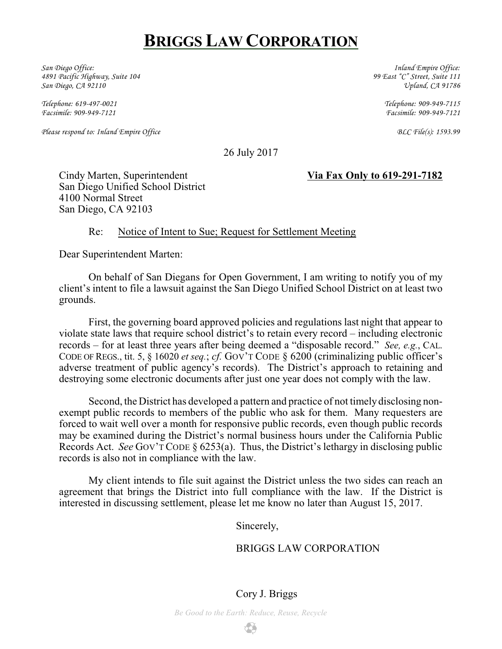# **BRIGGS LAW CORPORATION**

*San Diego Office: 4891 Pacific Highway, Suite 104 San Diego, CA 92110*

*Telephone: 619-497-0021 Facsimile: 909-949-7121*

*Please respond to: Inland Empire Office BLC File(s): 1593.99*

*Inland Empire Office: 99 East "C" Street, Suite 111 Upland, CA 91786*

> *Telephone: 909-949-7115 Facsimile: 909-949-7121*

26 July 2017

Cindy Marten, Superintendent **Via Fax Only to 619-291-7182** San Diego Unified School District 4100 Normal Street San Diego, CA 92103

### Re: Notice of Intent to Sue; Request for Settlement Meeting

Dear Superintendent Marten:

On behalf of San Diegans for Open Government, I am writing to notify you of my client's intent to file a lawsuit against the San Diego Unified School District on at least two grounds.

First, the governing board approved policies and regulations last night that appear to violate state laws that require school district's to retain every record – including electronic records – for at least three years after being deemed a "disposable record." *See, e.g.*, CAL. CODE OF REGS., tit. 5, § 16020 *et seq.*; *cf.* GOV'T CODE § 6200 (criminalizing public officer's adverse treatment of public agency's records). The District's approach to retaining and destroying some electronic documents after just one year does not comply with the law.

Second, the District has developed a pattern and practice of not timely disclosing nonexempt public records to members of the public who ask for them. Many requesters are forced to wait well over a month for responsive public records, even though public records may be examined during the District's normal business hours under the California Public Records Act. *See* GOV'T CODE § 6253(a). Thus, the District's lethargy in disclosing public records is also not in compliance with the law.

My client intends to file suit against the District unless the two sides can reach an agreement that brings the District into full compliance with the law. If the District is interested in discussing settlement, please let me know no later than August 15, 2017.

Sincerely,

### BRIGGS LAW CORPORATION

## Cory J. Briggs

*Be Good to the Earth: Reduce, Reuse, Recycle*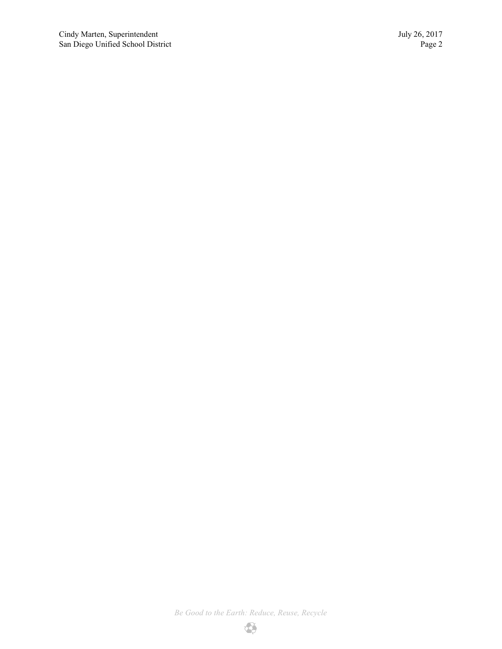*Be Good to the Earth: Reduce, Reuse, Recycle*E